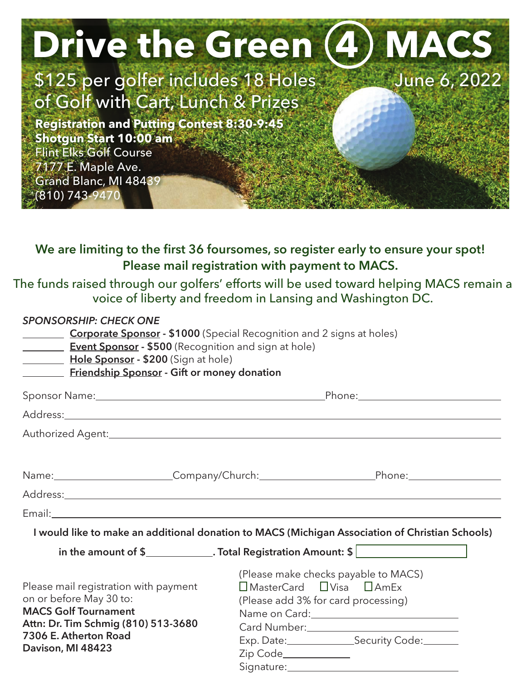| <b>Drive the Green (4) MACS</b>                                |              |
|----------------------------------------------------------------|--------------|
| \$125 per golfer includes 18 Holes                             | June 6, 2022 |
| of Golf with Cart, Lunch & Prizes                              |              |
| <b>Registration and Putting Contest 8:30-9:45</b>              |              |
| <b>Shotgun Start 10:00 am</b><br><b>Flint Elks Golf Course</b> |              |
| 7177 E. Maple Ave.                                             |              |
| Grand Blanc, MI 48439<br>(810) 743-9470                        |              |
|                                                                |              |

## **We are limiting to the first 36 foursomes, so register early to ensure your spot! Please mail registration with payment to MACS.**

The funds raised through our golfers' efforts will be used toward helping MACS remain a voice of liberty and freedom in Lansing and Washington DC.

## *SPONSORSHIP: CHECK ONE*

| $\mathcal{L}^{\mathcal{L}}(\mathcal{L}^{\mathcal{L}})$ , where $\mathcal{L}^{\mathcal{L}}(\mathcal{L}^{\mathcal{L}})$<br><b>Hole Sponsor</b> - \$200 (Sign at hole)<br>Friendship Sponsor - Gift or money donation | <b>Corporate Sponsor - \$1000</b> (Special Recognition and 2 signs at holes)<br><b>Event Sponsor - \$500 (Recognition and sign at hole)</b>                                                                                       |  |  |
|--------------------------------------------------------------------------------------------------------------------------------------------------------------------------------------------------------------------|-----------------------------------------------------------------------------------------------------------------------------------------------------------------------------------------------------------------------------------|--|--|
|                                                                                                                                                                                                                    |                                                                                                                                                                                                                                   |  |  |
|                                                                                                                                                                                                                    |                                                                                                                                                                                                                                   |  |  |
|                                                                                                                                                                                                                    |                                                                                                                                                                                                                                   |  |  |
|                                                                                                                                                                                                                    | Name: Company/Church: Phone: Phone:                                                                                                                                                                                               |  |  |
|                                                                                                                                                                                                                    |                                                                                                                                                                                                                                   |  |  |
|                                                                                                                                                                                                                    |                                                                                                                                                                                                                                   |  |  |
|                                                                                                                                                                                                                    | I would like to make an additional donation to MACS (Michigan Association of Christian Schools)                                                                                                                                   |  |  |
|                                                                                                                                                                                                                    | in the amount of $\frac{1}{2}$ Total Registration Amount: $\frac{1}{2}$                                                                                                                                                           |  |  |
| Please mail registration with payment<br>on or before May 30 to:<br><b>MACS Golf Tournament</b><br>Attn: Dr. Tim Schmig (810) 513-3680<br>7306 E. Atherton Road<br>Davison, MI 48423                               | (Please make checks payable to MACS)<br>$\Box$ MasterCard $\Box$ Visa $\Box$ AmEx<br>(Please add 3% for card processing)<br>Card Number:<br><u>Card Number:</u><br>Exp. Date:__________________Security Code:________<br>Zip Code |  |  |